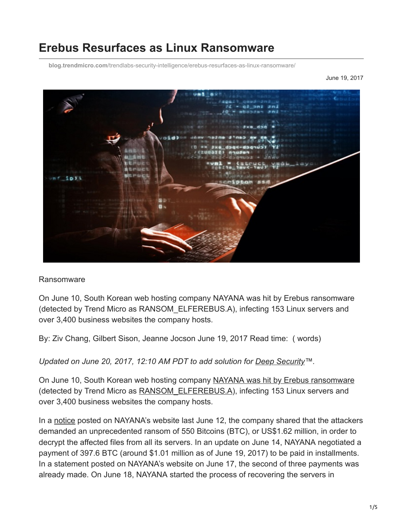# **Erebus Resurfaces as Linux Ransomware**

**blog.trendmicro.com**[/trendlabs-security-intelligence/erebus-resurfaces-as-linux-ransomware/](https://blog.trendmicro.com/trendlabs-security-intelligence/erebus-resurfaces-as-linux-ransomware/)

June 19, 2017



#### Ransomware

On June 10, South Korean web hosting company NAYANA was hit by Erebus ransomware (detected by Trend Micro as RANSOM\_ELFEREBUS.A), infecting 153 Linux servers and over 3,400 business websites the company hosts.

By: Ziv Chang, Gilbert Sison, Jeanne Jocson June 19, 2017 Read time: ( words)

*Updated on June 20, 2017, 12:10 AM PDT to add solution for [Deep Security™](https://blog.trendmicro.com/en_us/business/products/hybrid-cloud/deep-security.html).*

On June 10, South Korean web hosting company [NAYANA was hit by Erebus ransomware](https://www.trendmicro.com/vinfo/tmr/?/us/security/news/cyber-attacks/erebus-linux-ransomware-impact-to-servers-and-countermeasures) (detected by Trend Micro as RANSOM ELFEREBUS.A), infecting 153 Linux servers and over 3,400 business websites the company hosts.

In a [notice](https://www.cnet.com/news/largest-ransomware-ever-demand-south-korea-web-host/) posted on NAYANA's website last June 12, the company shared that the attackers demanded an unprecedented ransom of 550 Bitcoins (BTC), or US\$1.62 million, in order to decrypt the affected files from all its servers. In an update on June 14, NAYANA negotiated a payment of 397.6 BTC (around \$1.01 million as of June 19, 2017) to be paid in installments. In a statement posted on NAYANA's website on June 17, the second of three payments was already made. On June 18, NAYANA started the process of recovering the servers in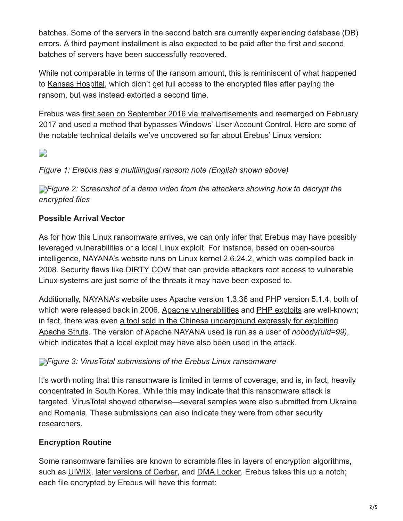batches. Some of the servers in the second batch are currently experiencing database (DB) errors. A third payment installment is also expected to be paid after the first and second batches of servers have been successfully recovered.

While not comparable in terms of the ransom amount, this is reminiscent of what happened to [Kansas Hospital](https://www.trendmicro.com/vinfo/tmr/?/us/security/news/cybercrime-and-digital-threats/kansas-hospital-hit-by-ransomware-extorted-twice), which didn't get full access to the encrypted files after paying the ransom, but was instead extorted a second time.

Erebus was [first seen on September 2016 via malvertisements](https://www.trendmicro.com/vinfo/tmr/?/us/security/news/cybercrime-and-digital-threats/ransomware-recap-sept-23-2016) and reemerged on February 2017 and used [a method that bypasses Windows' User Account Control](https://www.trendmicro.com/vinfo/tmr/?/us/security/news/cybercrime-and-digital-threats/ransomware-recap-january-30-february-15-2017). Here are some of the notable technical details we've uncovered so far about Erebus' Linux version:

## $\overline{\phantom{a}}$

## *Figure 1: Erebus has a multilingual ransom note (English shown above)*

**[F](https://blog.trendmicro.com/content/dam/trendmicro/global/en/migrated/security-intelligence-migration-spreadsheet/trendlabs-security-intelligence/2017/06/erebus-ransomware-2.jpg)***Figure 2: Screenshot of a demo video from the attackers showing how to decrypt the encrypted files*

## **Possible Arrival Vector**

As for how this Linux ransomware arrives, we can only infer that Erebus may have possibly leveraged vulnerabilities or a local Linux exploit. For instance, based on open-source intelligence, NAYANA's website runs on Linux kernel 2.6.24.2, which was compiled back in 2008. Security flaws like **DIRTY COW** that can provide attackers root access to vulnerable Linux systems are just some of the threats it may have been exposed to.

Additionally, NAYANA's website uses Apache version 1.3.36 and PHP version 5.1.4, both of which were released back in 2006. [Apache vulnerabilities](http://blog.trendmicro.com/trendlabs-security-intelligence/cve-2017-5638-apache-struts-vulnerability-remote-code-execution/) and [PHP exploits](http://blog.trendmicro.com/trendlabs-security-intelligence/plesk-zero-day-exploit-results-in-compromised-webserver/) are well-known; [in fact, there was even a tool sold in the Chinese underground expressly for exploiting](http://blog.trendmicro.com/trendlabs-security-intelligence/chinese-underground-creates-tool-exploiting-apache-struts-vulnerability/) Apache Struts. The version of Apache NAYANA used is run as a user of *nobody(uid=99)*, which indicates that a local exploit may have also been used in the attack.

## *[F](https://blog.trendmicro.com/content/dam/trendmicro/global/en/migrated/security-intelligence-migration-spreadsheet/trendlabs-security-intelligence/2017/06/erebus-ransomware-3.png)igure 3: VirusTotal submissions of the Erebus Linux ransomware*

It's worth noting that this ransomware is limited in terms of coverage, and is, in fact, heavily concentrated in South Korea. While this may indicate that this ransomware attack is targeted, VirusTotal showed otherwise—several samples were also submitted from Ukraine and Romania. These submissions can also indicate they were from other security researchers.

## **Encryption Routine**

Some ransomware families are known to scramble files in layers of encryption algorithms, such as [UIWIX](http://blog.trendmicro.com/trendlabs-security-intelligence/wannacry-uiwix-ransomware-monero-mining-malware-follow-suit/), [later versions of Cerber,](http://blog.trendmicro.com/trendlabs-security-intelligence/cerber-ransomware-evolution/) and [DMA Locker.](https://www.trendmicro.com/vinfo/tmr/?/us/security/news/cybercrime-and-digital-threats/new-ransomware-badblock-and-dma-locker-4-0) Erebus takes this up a notch; each file encrypted by Erebus will have this format: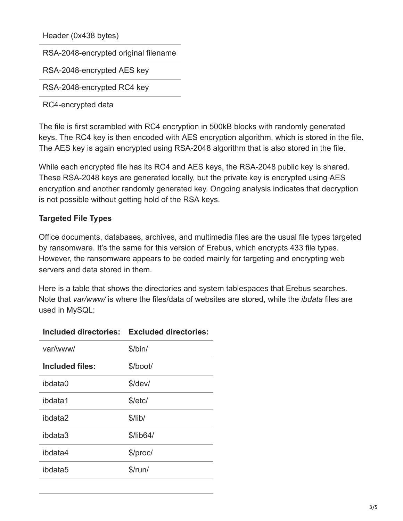Header (0x438 bytes)

RSA-2048-encrypted original filename

RSA-2048-encrypted AES key

RSA-2048-encrypted RC4 key

RC4-encrypted data

The file is first scrambled with RC4 encryption in 500kB blocks with randomly generated keys. The RC4 key is then encoded with AES encryption algorithm, which is stored in the file. The AES key is again encrypted using RSA-2048 algorithm that is also stored in the file.

While each encrypted file has its RC4 and AES keys, the RSA-2048 public key is shared. These RSA-2048 keys are generated locally, but the private key is encrypted using AES encryption and another randomly generated key. Ongoing analysis indicates that decryption is not possible without getting hold of the RSA keys.

#### **Targeted File Types**

Office documents, databases, archives, and multimedia files are the usual file types targeted by ransomware. It's the same for this version of Erebus, which encrypts 433 file types. However, the ransomware appears to be coded mainly for targeting and encrypting web servers and data stored in them.

Here is a table that shows the directories and system tablespaces that Erebus searches. Note that *var/www/* is where the files/data of websites are stored, while the *ibdata* files are used in MySQL:

| var/www/        | \$/bin/   |  |  |
|-----------------|-----------|--|--|
| Included files: | \$/boot/  |  |  |
| ibdata0         | $$$ /dev/ |  |  |
| ibdata1         | \$/etc/   |  |  |
| ibdata2         | $$$ /lib/ |  |  |
| ibdata3         | \$/lib64/ |  |  |
| ibdata4         | \$/proc/  |  |  |
| ibdata5         | $$$ /run/ |  |  |
|                 |           |  |  |

#### **Included directories: Excluded directories:**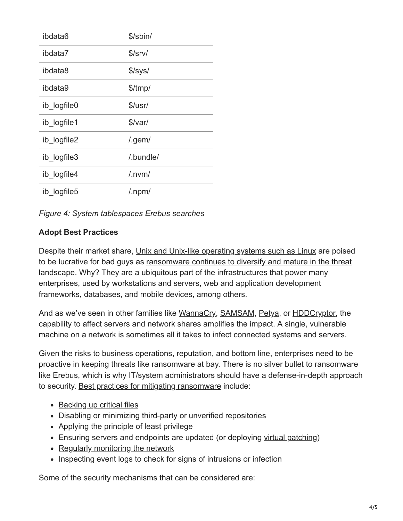| ibdata6     | \$/sbin/                |
|-------------|-------------------------|
| ibdata7     | \$/srv/                 |
| ibdata8     | $\frac{\log 1}{\log 1}$ |
| ibdata9     | \$/tmp/                 |
| ib logfile0 | \$/usr/                 |
| ib logfile1 | \$/var/                 |
| ib logfile2 | $/$ .gem $/$            |
| ib_logfile3 | /.bundle/               |
| ib logfile4 | $/$ .nvm $/$            |
| ib logfile5 | $/$ .npm $/$            |

|  |  |  | Figure 4: System tablespaces Erebus searches |
|--|--|--|----------------------------------------------|
|  |  |  |                                              |

## **Adopt Best Practices**

Despite their market share, [Unix and Unix-like operating systems such as Linux](http://blog.trendmicro.com/trendlabs-security-intelligence/unix-a-game-changer-in-the-ransomware-landscape/) are poised [to be lucrative for bad guys as ransomware continues to diversify and mature in the threat](https://www.trendmicro.com/vinfo/tmr/?/us/security/research-and-analysis/predictions/2017) landscape. Why? They are a ubiquitous part of the infrastructures that power many enterprises, used by workstations and servers, web and application development frameworks, databases, and mobile devices, among others.

And as we've seen in other families like [WannaCry,](https://blog.trendmicro.com/en_us/research/17/e/massive-wannacrywcry-ransomware-attack-hits-various-countries.html) [SAMSAM,](http://blog.trendmicro.com/trendlabs-security-intelligence/lesson-patching-rise-samsam-crypto-ransomware/) [Petya](http://blog.trendmicro.com/trendlabs-security-intelligence/petya-crypto-ransomware-overwrites-mbr-lock-users-computers/), or [HDDCryptor](http://blog.trendmicro.com/trendlabs-security-intelligence/bksod-by-ransomware-hddcryptor-uses-commercial-tools-to-encrypt-network-shares-and-lock-hdds/), the capability to affect servers and network shares amplifies the impact. A single, vulnerable machine on a network is sometimes all it takes to infect connected systems and servers.

Given the risks to business operations, reputation, and bottom line, enterprises need to be proactive in keeping threats like ransomware at bay. There is no silver bullet to ransomware like Erebus, which is why IT/system administrators should have a defense-in-depth approach to security. [Best practices for mitigating ransomware](http://blog.trendmicro.com/trendlabs-security-intelligence/ransomware-past-present-future/) include:

- [Backing up critical files](http://blog.trendmicro.com/trendlabs-security-intelligence/world-backup-day-the-3-2-1-rule/)
- Disabling or minimizing third-party or unverified repositories
- Applying the principle of least privilege
- Ensuring servers and endpoints are updated (or deploying [virtual patching\)](https://www.trendmicro.com/vinfo/tmr/?/us/security/news/virtualization-and-cloud/virtual-patching-in-mixed-environments-how-it-protects-you/)
- [Regularly monitoring the network](http://blog.trendmicro.com/trendlabs-security-intelligence/network-solutions-ransomware-stopping-containing-spread/)
- Inspecting event logs to check for signs of intrusions or infection

Some of the security mechanisms that can be considered are: